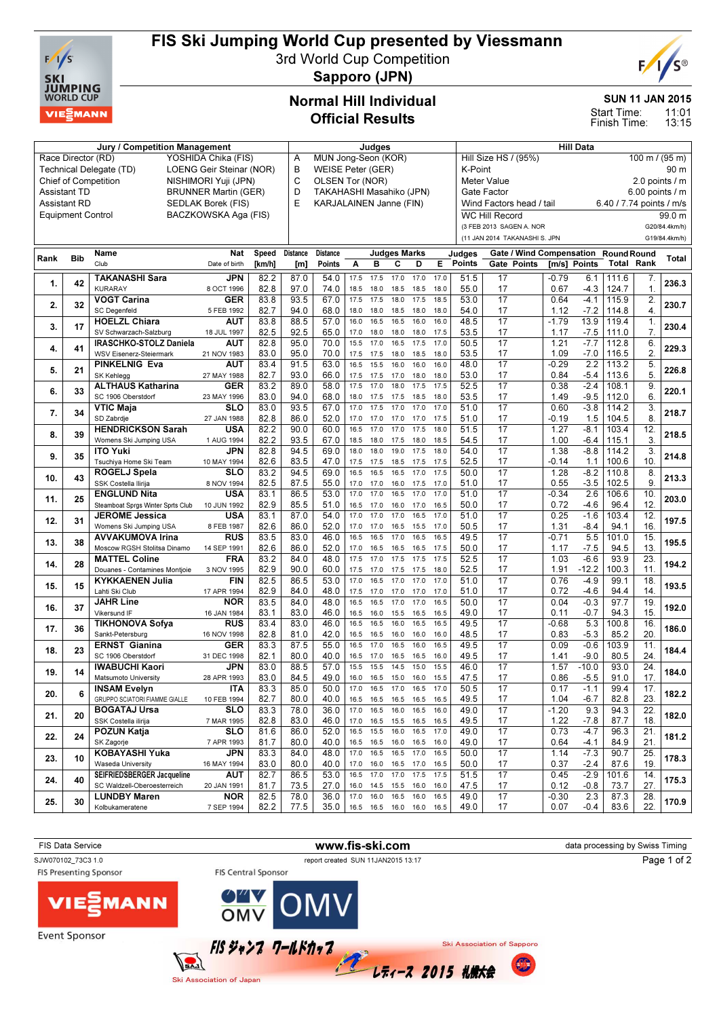

# FIS Ski Jumping World Cup presented by Viessmann

3rd World Cup Competition



Sapporo (JPN)

## Normal Hill Individual Official Results

### SUN 11 JAN 2015

E

Start Time:

11:01 13:15 Finish Time:

| Jury / Competition Management                       |                          |                                   |                      |        |          | Judges                         |           |      |                          |      |      |               | <b>Hill Data</b>                       |              |                  |                          |                    |               |  |
|-----------------------------------------------------|--------------------------|-----------------------------------|----------------------|--------|----------|--------------------------------|-----------|------|--------------------------|------|------|---------------|----------------------------------------|--------------|------------------|--------------------------|--------------------|---------------|--|
| Race Director (RD)<br>YOSHIDA Chika (FIS)           |                          |                                   |                      |        |          | MUN Jong-Seon (KOR)<br>Α       |           |      |                          |      |      |               | 100 m / (95 m)<br>Hill Size HS / (95%) |              |                  |                          |                    |               |  |
| LOENG Geir Steinar (NOR)<br>Technical Delegate (TD) |                          |                                   |                      |        |          | B<br><b>WEISE Peter (GER)</b>  |           |      |                          |      |      |               | K-Point<br>90 m                        |              |                  |                          |                    |               |  |
| <b>Chief of Competition</b><br>NISHIMORI Yuji (JPN) |                          |                                   |                      |        |          | C<br>OLSEN Tor (NOR)           |           |      |                          |      |      |               | <b>Meter Value</b><br>2.0 points / m   |              |                  |                          |                    |               |  |
| <b>Assistant TD</b><br><b>BRUNNER Martin (GER)</b>  |                          |                                   |                      |        |          | D<br>TAKAHASHI Masahiko (JPN)  |           |      |                          |      |      |               | $6.00$ points / m<br>Gate Factor       |              |                  |                          |                    |               |  |
| <b>Assistant RD</b><br>SEDLAK Borek (FIS)           |                          |                                   |                      |        |          | <b>KARJALAINEN Janne (FIN)</b> |           |      |                          |      |      |               | Wind Factors head / tail               |              |                  | 6.40 / 7.74 points / m/s |                    |               |  |
|                                                     | <b>Equipment Control</b> |                                   | BACZKOWSKA Aga (FIS) |        |          |                                |           |      |                          |      |      |               | <b>WC Hill Record</b>                  |              |                  |                          |                    | 99.0 m        |  |
|                                                     |                          |                                   |                      |        |          |                                |           |      |                          |      |      |               | (3 FEB 2013 SAGEN A. NOR               |              |                  |                          |                    | G20/84.4km/h) |  |
|                                                     |                          |                                   |                      |        |          |                                |           |      |                          |      |      |               | (11 JAN 2014 TAKANASHI S. JPN          |              |                  |                          |                    | G19/84.4km/h) |  |
|                                                     |                          | Name                              | Nat                  | Speed  | Distance | <b>Distance</b>                |           |      | <b>Judges Marks</b>      |      |      | Judges        | Gate / Wind Compensation               |              |                  | <b>Round Round</b>       |                    |               |  |
| Rank                                                | <b>Bib</b>               | Club                              | Date of birth        | [km/h] | [m]      | Points                         | Α         | B    | С                        | D    | E.   | <b>Points</b> | Gate Points                            | [m/s] Points |                  | Total                    | Rank               | Total         |  |
|                                                     |                          | <b>TAKANASHI Sara</b>             | JPN                  | 82.2   | 87.0     | 54.0                           | 17.5      | 17.5 | 17.0                     | 17.0 | 17.0 | 51.5          | 17                                     | $-0.79$      |                  |                          |                    |               |  |
| 1.                                                  | 42                       | <b>KURARAY</b>                    | 8 OCT 1996           | 82.8   | 97.0     | 74.0                           | 18.5      | 18.0 | 18.5                     | 18.5 | 18.0 | 55.0          | 17                                     | 0.67         | 6.1<br>$-4.3$    | 111.6<br>124.7           | 7.<br>$\mathbf{1}$ | 236.3         |  |
|                                                     |                          | <b>VOGT Carina</b>                | GER                  | 83.8   | 93.5     | 67.0                           | 17.5      | 17.5 | 18.0                     | 17.5 | 18.5 | 53.0          | 17                                     | 0.64         | $-4.1$           | 115.9                    | 2.                 |               |  |
| 2.                                                  | 32                       | <b>SC Degenfeld</b>               | 5 FEB 1992           | 82.7   | 94.0     | 68.0                           | 18.0      | 18.0 | 18.5                     | 18.0 | 18.0 | 54.0          | 17                                     | 1.12         | $-7.2$           | 114.8                    | $\overline{4}$ .   | 230.7         |  |
|                                                     |                          | <b>HOELZL Chiara</b>              | AUT                  | 83.8   | 88.5     | 57.0                           | 16.0      | 16.5 | 16.5                     | 16.0 | 16.0 | 48.5          | $\overline{17}$                        | $-1.79$      | 13.9             | 119.4                    | $\mathbf{1}$       |               |  |
| 3.                                                  | 17                       | SV Schwarzach-Salzburg            | 18 JUL 1997          | 82.5   | 92.5     | 65.0                           | 17.0      | 18.0 | 18.0                     | 18.0 | 17.5 | 53.5          | 17                                     | 1.17         | $-7.5$           | 111.0                    | 7.                 | 230.4         |  |
|                                                     |                          | IRASCHKO-STOLZ Daniela            | <b>AUT</b>           | 82.8   | 95.0     | 70.0                           | 15.5      | 17.0 | 16.5                     | 17.5 | 17.0 | 50.5          | 17                                     | 1.21         | $-7.7$           | 112.8                    | 6.                 |               |  |
| 4.                                                  | 41                       | WSV Eisenerz-Steiermark           | 21 NOV 1983          | 83.0   | 95.0     | 70.0                           | 17.5      | 17.5 | 18.0                     | 18.5 | 18.0 | 53.5          | 17                                     | 1.09         | $-7.0$           | 116.5                    | 2.                 | 229.3         |  |
|                                                     |                          | <b>PINKELNIG Eva</b>              | AUT                  | 83.4   | 91.5     | 63.0                           | 16.5      | 15.5 | 16.0                     | 16.0 | 16.0 | 48.0          | 17                                     | $-0.29$      | $\overline{2.2}$ | 113.2                    | 5.                 |               |  |
| 5.                                                  | 21                       | SK Kehlegg                        | 27 MAY 1988          | 82.7   | 93.0     | 66.0                           | 17.5      | 17.5 | 17.0                     | 18.0 | 18.0 | 53.0          | 17                                     | 0.84         | $-5.4$           | 113.6                    | 5                  | 226.8         |  |
|                                                     |                          | <b>ALTHAUS Katharina</b>          | <b>GER</b>           | 83.2   | 89.0     | 58.0                           | 17.5      | 17.0 | 18.0                     | 17.5 | 17.5 | 52.5          | $\overline{17}$                        | 0.38         | $-2.4$           | 108.1                    | 9.                 |               |  |
| 6.                                                  | 33                       | SC 1906 Oberstdorf                | 23 MAY 1996          | 83.0   | 94.0     | 68.0                           | 18.0      | 17.5 | 17.5                     | 18.5 | 18.0 | 53.5          | 17                                     | 1.49         | $-9.5$           | 112.0                    | 6                  | 220.1         |  |
|                                                     |                          | <b>VTIC Maja</b>                  | SLO                  | 83.0   | 93.5     | 67.0                           | 17.0      | 17.5 | 17.0                     | 17.0 | 17.0 | 51.0          | $\overline{17}$                        | 0.60         | $-3.8$           | 114.2                    | 3.                 |               |  |
| 7.                                                  | 34                       | SD Zabrdje                        | 27 JAN 1988          | 82.8   | 86.0     | 52.0                           | 17.0      | 17.0 | 17.0                     | 17.0 | 17.5 | 51.0          | 17                                     | -0.19        | 1.5              | 104.5                    | 8                  | 218.7         |  |
|                                                     |                          | <b>HENDRICKSON Sarah</b>          | USA                  | 82.2   | 90.0     | 60.0                           | 16.5      | 17.0 | 17.0                     | 17.5 | 18.0 | 51.5          | $\overline{17}$                        | 1.27         | $-8.1$           | 103.4                    | 12.                |               |  |
| 8.                                                  | 39                       | Womens Ski Jumping USA            | 1 AUG 1994           | 82.2   | 93.5     | 67.0                           | 18.5      | 18.0 | 17.5                     | 18.0 | 18.5 | 54.5          | 17                                     | 1.00         | $-6.4$           | 115.1                    | 3.                 | 218.5         |  |
|                                                     |                          | <b>ITO Yuki</b>                   | JPN                  | 82.8   | 94.5     | 69.0                           | 18.0      | 18.0 | 19.0                     | 17.5 | 18.0 | 54.0          | $\overline{17}$                        | 1.38         | $-8.8$           | 114.2                    | $\overline{3}$ .   |               |  |
| 9.                                                  | 35                       | Tsuchiya Home Ski Team            | 10 MAY 1994          | 82.6   | 83.5     | 47.0                           | 17.5      | 17.5 | 18.5                     | 17.5 | 17.5 | 52.5          | 17                                     | $-0.14$      | 1.1              | 100.6                    | 10.                | 214.8         |  |
|                                                     |                          | <b>ROGELJ Spela</b>               | SLO                  | 83.2   | 94.5     | 69.0                           | 16.5      | 16.5 | 16.5                     | 17.0 | 17.5 | 50.0          | 17                                     | 1.28         | $-8.2$           | 110.8                    | 8                  |               |  |
| 10.                                                 | 43                       | SSK Costella Ilirija              | 8 NOV 1994           | 82.5   | 87.5     | 55.0                           | 17.0      | 17.0 | 16.0                     | 17.5 | 17.0 | 51.0          | 17                                     | 0.55         | $-3.5$           | 102.5                    | 9.                 | 213.3         |  |
|                                                     |                          | <b>ENGLUND Nita</b>               | USA                  | 83.1   | 86.5     | 53.0                           | 17.0      | 17.0 | 16.5                     | 17.0 | 17.0 | 51.0          | 17                                     | $-0.34$      | 2.6              | 106.6                    | 10                 |               |  |
| 11.                                                 | 25                       | Steamboat Sprgs Winter Sprts Club | 10 JUN 1992          | 82.9   | 85.5     | 51.0                           | 16.5      | 17.0 | 16.0                     | 17.0 | 16.5 | 50.0          | 17                                     | 0.72         | $-4.6$           | 96.4                     | 12.                | 203.0         |  |
|                                                     |                          | <b>JEROME Jessica</b>             | USA                  | 83.1   | 87.0     | 54.0                           | 17.0      | 17.0 | 17.0                     | 16.5 | 17.0 | 51.0          | 17                                     | 0.25         | $-1.6$           | 103.4                    | 12.                |               |  |
| 12.                                                 | 31                       | Womens Ski Jumping USA            | 8 FEB 1987           | 82.6   | 86.0     | 52.0                           | 17.0      | 17.0 | 16.5                     | 15.5 | 17.0 | 50.5          | 17                                     | 1.31         | $-8.4$           | 94.1                     | 16.                | 197.5         |  |
|                                                     |                          | <b>AVVAKUMOVA Irina</b>           | RUS                  | 83.5   | 83.0     | 46.0                           | 16.5      | 16.5 | 17.0                     | 16.5 | 16.5 | 49.5          | 17                                     | $-0.71$      | 5.5              | 101.0                    | 15                 |               |  |
| 13.                                                 | 38                       | Moscow RGSH Stolitsa Dinamo       | 14 SEP 1991          | 82.6   | 86.0     | 52.0                           | 17.0      | 16.5 | 16.5                     | 16.5 | 17.5 | 50.0          | 17                                     | 1.17         | $-7.5$           | 94.5                     | 13.                | 195.5         |  |
|                                                     |                          | <b>MATTEL Coline</b>              | <b>FRA</b>           | 83.2   | 84.0     | 48.0                           | 17.5      | 17.0 | 17.5                     | 17.5 | 17.5 | 52.5          | $\overline{17}$                        | 1.03         | $-6.6$           | 93.9                     | 23                 |               |  |
| 14.                                                 | 28                       | Douanes - Contamines Montjoie     | 3 NOV 1995           | 82.9   | 90.0     | 60.0                           | 17.5      | 17.0 | 17.5                     | 17.5 | 18.0 | 52.5          | 17                                     | 1.91         | $-12.2$          | 100.3                    | 11                 | 194.2         |  |
|                                                     |                          | <b>KYKKAENEN Julia</b>            | FIN                  | 82.5   | 86.5     | 53.0                           | 17.0      | 16.5 | 17.0                     | 17.0 | 17.0 | 51.0          | 17                                     | 0.76         | $-4.9$           | 99.1                     | 18                 |               |  |
| 15.                                                 | 15                       | Lahti Ski Club                    | 17 APR 1994          | 82.9   | 84.0     | 48.0                           | 17.5      | 17.0 | 17.0                     | 17.0 | 17.0 | 51.0          | 17                                     | 0.72         | $-4.6$           | 94.4                     | 14.                | 193.5         |  |
|                                                     |                          | <b>JAHR Line</b>                  | <b>NOR</b>           | 83.5   | 84.0     | 48.0                           | 16.5      | 16.5 | 17.0                     | 17.0 | 16.5 | 50.0          | 17                                     | 0.04         | $-0.3$           | 97.7                     | 19                 |               |  |
| 16.                                                 | 37                       | Vikersund IF                      | 16 JAN 1984          | 83.1   | 83.0     | 46.0                           | 16.5      | 16.0 | 15.5                     | 16.5 | 16.5 | 49.0          | 17                                     | 0.11         | $-0.7$           | 94.3                     | 15                 | 192.0         |  |
| 17.                                                 | 36                       | <b>TIKHONOVA Sofya</b>            | RUS                  | 83.4   | 83.0     | 46.0                           | 16.5      | 16.5 | 16.0                     | 16.5 | 16.5 | 49.5          | 17                                     | $-0.68$      | 5.3              | 100.8                    | 16                 | 186.0         |  |
|                                                     |                          | Sankt-Petersburg                  | 16 NOV 1998          | 82.8   | 81.0     | 42.0                           | 16.5      | 16.5 | 16.0                     | 16.0 | 16.0 | 48.5          | 17                                     | 0.83         | $-5.3$           | 85.2                     | 20.                |               |  |
| 18.                                                 | 23                       | <b>ERNST Gianina</b>              | GER                  | 83.3   | 87.5     | 55.0                           | 16.5      | 17.0 | 16.5                     | 16.0 | 16.5 | 49.5          | 17                                     | 0.09         | $-0.6$           | 103.9                    | 11.                | 184.4         |  |
|                                                     |                          | SC 1906 Oberstdorf                | 31 DEC 1998          | 82.1   | 80.0     | 40.0                           | 16.5      | 17.0 | 16.5                     | 16.5 | 16.0 | 49.5          | 17                                     | 1.41         | $-9.0$           | 80.5                     | 24                 |               |  |
| 19.                                                 | 14                       | <b>IWABUCHI Kaori</b>             | <b>JPN</b>           | 83.0   | 88.5     | 57.0                           | 15.5      | 15.5 | 14.5                     | 15.0 | 15.5 | 46.0          | 17                                     | 1.57         | $-10.0$          | 93.0                     | 24                 | 184.0         |  |
|                                                     |                          | Matsumoto University              | 28 APR 1993          | 83.0   | 84.5     | 49.0                           | 16.0      | 16.5 | 15.0                     | 16.0 | 15.5 | 47.5          | 17                                     | 0.86         | $-5.5$           | 91.0                     | 17.                |               |  |
| 20.                                                 | 6                        | <b>INSAM Evelyn</b>               | ITA                  | 83.3   | 85.0     | 50.0                           | 17.0      | 16.5 | 17.0                     | 16.5 | 17.0 | 50.5          | 17                                     | 0.17         | $-1.1$           | 99.4                     | 17.                | 182.2         |  |
|                                                     |                          | GRUPPO SCIATORI FIAMME GIALLE     | 10 FEB 1994          | 82.7   | 80.0     | 40.0                           | 16.5 16.5 |      | 16.5                     | 16.5 | 16.5 | 49.5          | 17                                     | 1.04         | $-6.7$           | 82.8                     | 23.                |               |  |
| 21.                                                 | 20                       | <b>BOGATAJ Ursa</b>               | SLO                  | 83.3   | 78.0     | 36.0                           | 17.0      | 16.5 | 16.0                     | 16.5 | 16.0 | 49.0          | 17                                     | $-1.20$      | 9.3              | 94.3                     | 22.                | 182.0         |  |
|                                                     |                          | SSK Costella ilirija              | 7 MAR 1995           | 82.8   | 83.0     | 46.0                           | 17.0      | 16.5 | 15.5                     | 16.5 | 16.5 | 49.5          | 17                                     | 1.22         | $-7.8$           | 87.7                     | 18.                |               |  |
| 22.                                                 | 24                       | POZUN Katja                       | SLO                  | 81.6   | 86.0     | 52.0                           | 16.5      | 15.5 | 16.0                     | 16.5 | 17.0 | 49.0          | 17                                     | 0.73         | $-4.7$           | 96.3                     | 21                 | 181.2         |  |
|                                                     |                          | SK Zagorje                        | 7 APR 1993           | 81.7   | 80.0     | 40.0                           | 16.5 16.5 |      | 16.0                     | 16.5 | 16.0 | 49.0          | 17                                     | 0.64         | -4.1             | 84.9                     | 21.                |               |  |
| 23.                                                 | 10                       | <b>KOBAYASHI Yuka</b>             | JPN                  | 83.3   | 84.0     | 48.0                           | 17.0      | 16.5 | 16.5                     | 17.0 | 16.5 | 50.0          | 17                                     | 1.14         | $-7.3$           | 90.7                     | 25.                | 178.3         |  |
|                                                     |                          | Waseda University                 | 16 MAY 1994          | 83.0   | 80.0     | 40.0                           | 17.0      | 16.0 | 16.5                     | 17.0 | 16.5 | 50.0          | 17                                     | 0.37         | $-2.4$           | 87.6                     | 19.                |               |  |
| 24.                                                 | 40                       | SEIFRIEDSBERGER Jacqueline        | AUT                  | 82.7   | 86.5     | 53.0                           | 16.5      | 17.0 | 17.0                     | 17.5 | 17.5 | 51.5          | 17                                     | 0.45         | $-2.9$           | 101.6                    | 14.                | 175.3         |  |
|                                                     |                          | SC Waldzell-Oberoesterreich       | 20 JAN 1991          | 81.7   | 73.5     | 27.0                           | 16.0      | 14.5 | 15.5                     | 16.0 | 16.0 | 47.5          | 17                                     | 0.12         | $-0.8$           | 73.7                     | 27.                |               |  |
| 25.                                                 | 30                       | <b>LUNDBY Maren</b>               | <b>NOR</b>           | 82.5   | 78.0     | 36.0                           | 17.0      | 16.0 | 16.5                     | 16.0 | 16.5 | 49.0          | 17                                     | $-0.30$      | 2.3              | 87.3                     | 28.                | 170.9         |  |
|                                                     |                          | Kolbukameratene                   | 7 SEP 1994           | 82.2   | 77.5     | 35.0                           |           |      | 16.5 16.5 16.0 16.0 16.5 |      |      | 49.0          | 17                                     | 0.07         | $-0.4$           | 83.6                     | 22.                |               |  |